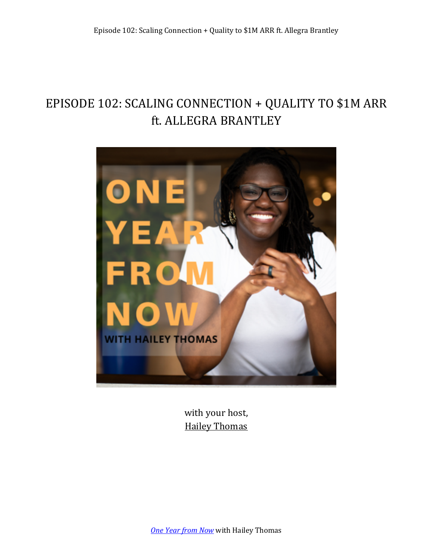# EPISODE 102: SCALING CONNECTION + QUALITY TO \$1M ARR ft. ALLEGRA BRANTLEY



with your host, **Hailey Thomas** 

**One Year from Now** with Hailey Thomas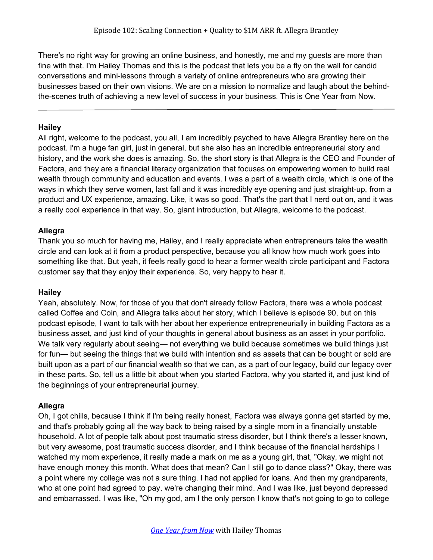There's no right way for growing an online business, and honestly, me and my guests are more than fine with that. I'm Hailey Thomas and this is the podcast that lets you be a fly on the wall for candid conversations and mini-lessons through a variety of online entrepreneurs who are growing their businesses based on their own visions. We are on a mission to normalize and laugh about the behindthe-scenes truth of achieving a new level of success in your business. This is One Year from Now.

## **Hailey**

All right, welcome to the podcast, you all, I am incredibly psyched to have Allegra Brantley here on the podcast. I'm a huge fan girl, just in general, but she also has an incredible entrepreneurial story and history, and the work she does is amazing. So, the short story is that Allegra is the CEO and Founder of Factora, and they are a financial literacy organization that focuses on empowering women to build real wealth through community and education and events. I was a part of a wealth circle, which is one of the ways in which they serve women, last fall and it was incredibly eye opening and just straight-up, from a product and UX experience, amazing. Like, it was so good. That's the part that I nerd out on, and it was a really cool experience in that way. So, giant introduction, but Allegra, welcome to the podcast.

## **Allegra**

Thank you so much for having me, Hailey, and I really appreciate when entrepreneurs take the wealth circle and can look at it from a product perspective, because you all know how much work goes into something like that. But yeah, it feels really good to hear a former wealth circle participant and Factora customer say that they enjoy their experience. So, very happy to hear it.

## **Hailey**

Yeah, absolutely. Now, for those of you that don't already follow Factora, there was a whole podcast called Coffee and Coin, and Allegra talks about her story, which I believe is episode 90, but on this podcast episode, I want to talk with her about her experience entrepreneurially in building Factora as a business asset, and just kind of your thoughts in general about business as an asset in your portfolio. We talk very regularly about seeing— not everything we build because sometimes we build things just for fun— but seeing the things that we build with intention and as assets that can be bought or sold are built upon as a part of our financial wealth so that we can, as a part of our legacy, build our legacy over in these parts. So, tell us a little bit about when you started Factora, why you started it, and just kind of the beginnings of your entrepreneurial journey.

# **Allegra**

Oh, I got chills, because I think if I'm being really honest, Factora was always gonna get started by me, and that's probably going all the way back to being raised by a single mom in a financially unstable household. A lot of people talk about post traumatic stress disorder, but I think there's a lesser known, but very awesome, post traumatic success disorder, and I think because of the financial hardships I watched my mom experience, it really made a mark on me as a young girl, that, "Okay, we might not have enough money this month. What does that mean? Can I still go to dance class?" Okay, there was a point where my college was not a sure thing. I had not applied for loans. And then my grandparents, who at one point had agreed to pay, we're changing their mind. And I was like, just beyond depressed and embarrassed. I was like, "Oh my god, am I the only person I know that's not going to go to college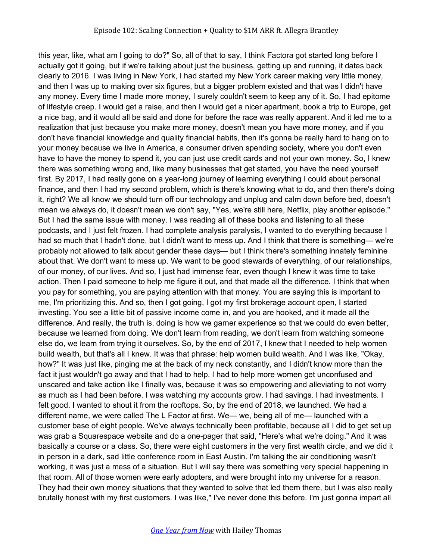this year, like, what am I going to do?" So, all of that to say, I think Factora got started long before I actually got it going, but if we're talking about just the business, getting up and running, it dates back clearly to 2016. I was living in New York, I had started my New York career making very little money, and then I was up to making over six figures, but a bigger problem existed and that was I didn't have any money. Every time I made more money, I surely couldn't seem to keep any of it. So, I had epitome of lifestyle creep. I would get a raise, and then I would get a nicer apartment, book a trip to Europe, get a nice bag, and it would all be said and done for before the race was really apparent. And it led me to a realization that just because you make more money, doesn't mean you have more money, and if you don't have financial knowledge and quality financial habits, then it's gonna be really hard to hang on to your money because we live in America, a consumer driven spending society, where you don't even have to have the money to spend it, you can just use credit cards and not your own money. So, I knew there was something wrong and, like many businesses that get started, you have the need yourself first. By 2017, I had really gone on a year-long journey of learning everything I could about personal finance, and then I had my second problem, which is there's knowing what to do, and then there's doing it, right? We all know we should turn off our technology and unplug and calm down before bed, doesn't mean we always do, it doesn't mean we don't say, "Yes, we're still here, Netflix, play another episode." But I had the same issue with money. I was reading all of these books and listening to all these podcasts, and I just felt frozen. I had complete analysis paralysis, I wanted to do everything because I had so much that I hadn't done, but I didn't want to mess up. And I think that there is something— we're probably not allowed to talk about gender these days— but I think there's something innately feminine about that. We don't want to mess up. We want to be good stewards of everything, of our relationships, of our money, of our lives. And so, I just had immense fear, even though I knew it was time to take action. Then I paid someone to help me figure it out, and that made all the difference. I think that when you pay for something, you are paying attention with that money. You are saying this is important to me, I'm prioritizing this. And so, then I got going, I got my first brokerage account open, I started investing. You see a little bit of passive income come in, and you are hooked, and it made all the difference. And really, the truth is, doing is how we garner experience so that we could do even better, because we learned from doing. We don't learn from reading, we don't learn from watching someone else do, we learn from trying it ourselves. So, by the end of 2017, I knew that I needed to help women build wealth, but that's all I knew. It was that phrase: help women build wealth. And I was like, "Okay, how?" It was just like, pinging me at the back of my neck constantly, and I didn't know more than the fact it just wouldn't go away and that I had to help. I had to help more women get unconfused and unscared and take action like I finally was, because it was so empowering and alleviating to not worry as much as I had been before. I was watching my accounts grow. I had savings. I had investments. I felt good. I wanted to shout it from the rooftops. So, by the end of 2018, we launched. We had a different name, we were called The L Factor at first. We— we, being all of me— launched with a customer base of eight people. We've always technically been profitable, because all I did to get set up was grab a Squarespace website and do a one-pager that said, "Here's what we're doing." And it was basically a course or a class. So, there were eight customers in the very first wealth circle, and we did it in person in a dark, sad little conference room in East Austin. I'm talking the air conditioning wasn't working, it was just a mess of a situation. But I will say there was something very special happening in that room. All of those women were early adopters, and were brought into my universe for a reason. They had their own money situations that they wanted to solve that led them there, but I was also really brutally honest with my first customers. I was like," I've never done this before. I'm just gonna impart all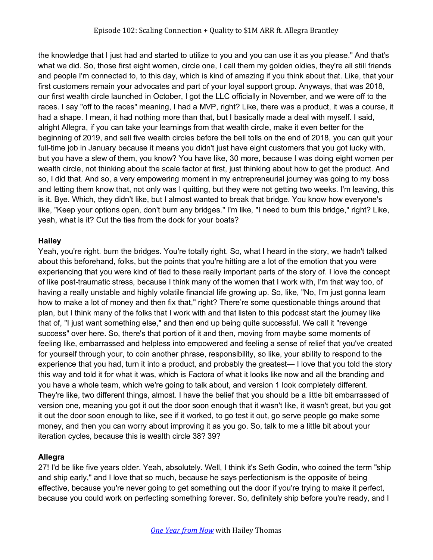the knowledge that I just had and started to utilize to you and you can use it as you please." And that's what we did. So, those first eight women, circle one, I call them my golden oldies, they're all still friends and people I'm connected to, to this day, which is kind of amazing if you think about that. Like, that your first customers remain your advocates and part of your loyal support group. Anyways, that was 2018, our first wealth circle launched in October, I got the LLC officially in November, and we were off to the races. I say "off to the races" meaning, I had a MVP, right? Like, there was a product, it was a course, it had a shape. I mean, it had nothing more than that, but I basically made a deal with myself. I said, alright Allegra, if you can take your learnings from that wealth circle, make it even better for the beginning of 2019, and sell five wealth circles before the bell tolls on the end of 2018, you can quit your full-time job in January because it means you didn't just have eight customers that you got lucky with, but you have a slew of them, you know? You have like, 30 more, because I was doing eight women per wealth circle, not thinking about the scale factor at first, just thinking about how to get the product. And so, I did that. And so, a very empowering moment in my entrepreneurial journey was going to my boss and letting them know that, not only was I quitting, but they were not getting two weeks. I'm leaving, this is it. Bye. Which, they didn't like, but I almost wanted to break that bridge. You know how everyone's like, "Keep your options open, don't burn any bridges." I'm like, "I need to burn this bridge," right? Like, yeah, what is it? Cut the ties from the dock for your boats?

## **Hailey**

Yeah, you're right. burn the bridges. You're totally right. So, what I heard in the story, we hadn't talked about this beforehand, folks, but the points that you're hitting are a lot of the emotion that you were experiencing that you were kind of tied to these really important parts of the story of. I love the concept of like post-traumatic stress, because I think many of the women that I work with, I'm that way too, of having a really unstable and highly volatile financial life growing up. So, like, "No, I'm just gonna learn how to make a lot of money and then fix that," right? There're some questionable things around that plan, but I think many of the folks that I work with and that listen to this podcast start the journey like that of, "I just want something else," and then end up being quite successful. We call it "revenge success" over here. So, there's that portion of it and then, moving from maybe some moments of feeling like, embarrassed and helpless into empowered and feeling a sense of relief that you've created for yourself through your, to coin another phrase, responsibility, so like, your ability to respond to the experience that you had, turn it into a product, and probably the greatest— I love that you told the story this way and told it for what it was, which is Factora of what it looks like now and all the branding and you have a whole team, which we're going to talk about, and version 1 look completely different. They're like, two different things, almost. I have the belief that you should be a little bit embarrassed of version one, meaning you got it out the door soon enough that it wasn't like, it wasn't great, but you got it out the door soon enough to like, see if it worked, to go test it out, go serve people go make some money, and then you can worry about improving it as you go. So, talk to me a little bit about your iteration cycles, because this is wealth circle 38? 39?

## **Allegra**

27! I'd be like five years older. Yeah, absolutely. Well, I think it's Seth Godin, who coined the term "ship and ship early," and I love that so much, because he says perfectionism is the opposite of being effective, because you're never going to get something out the door if you're trying to make it perfect, because you could work on perfecting something forever. So, definitely ship before you're ready, and I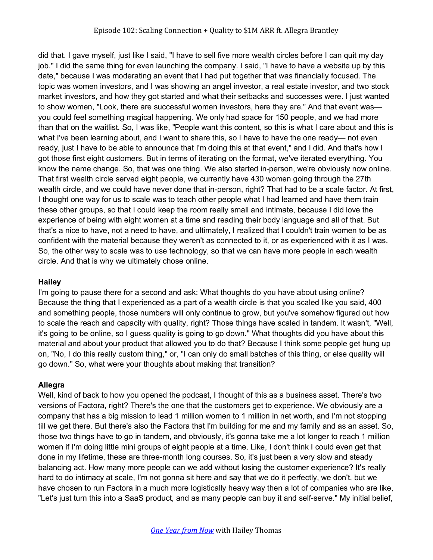did that. I gave myself, just like I said, "I have to sell five more wealth circles before I can quit my day job." I did the same thing for even launching the company. I said, "I have to have a website up by this date," because I was moderating an event that I had put together that was financially focused. The topic was women investors, and I was showing an angel investor, a real estate investor, and two stock market investors, and how they got started and what their setbacks and successes were. I just wanted to show women, "Look, there are successful women investors, here they are." And that event was you could feel something magical happening. We only had space for 150 people, and we had more than that on the waitlist. So, I was like, "People want this content, so this is what I care about and this is what I've been learning about, and I want to share this, so I have to have the one ready— not even ready, just I have to be able to announce that I'm doing this at that event," and I did. And that's how I got those first eight customers. But in terms of iterating on the format, we've iterated everything. You know the name change. So, that was one thing. We also started in-person, we're obviously now online. That first wealth circle served eight people, we currently have 430 women going through the 27th wealth circle, and we could have never done that in-person, right? That had to be a scale factor. At first, I thought one way for us to scale was to teach other people what I had learned and have them train these other groups, so that I could keep the room really small and intimate, because I did love the experience of being with eight women at a time and reading their body language and all of that. But that's a nice to have, not a need to have, and ultimately, I realized that I couldn't train women to be as confident with the material because they weren't as connected to it, or as experienced with it as I was. So, the other way to scale was to use technology, so that we can have more people in each wealth circle. And that is why we ultimately chose online.

## **Hailey**

I'm going to pause there for a second and ask: What thoughts do you have about using online? Because the thing that I experienced as a part of a wealth circle is that you scaled like you said, 400 and something people, those numbers will only continue to grow, but you've somehow figured out how to scale the reach and capacity with quality, right? Those things have scaled in tandem. It wasn't, "Well, it's going to be online, so I guess quality is going to go down." What thoughts did you have about this material and about your product that allowed you to do that? Because I think some people get hung up on, "No, I do this really custom thing," or, "I can only do small batches of this thing, or else quality will go down." So, what were your thoughts about making that transition?

## **Allegra**

Well, kind of back to how you opened the podcast, I thought of this as a business asset. There's two versions of Factora, right? There's the one that the customers get to experience. We obviously are a company that has a big mission to lead 1 million women to 1 million in net worth, and I'm not stopping till we get there. But there's also the Factora that I'm building for me and my family and as an asset. So, those two things have to go in tandem, and obviously, it's gonna take me a lot longer to reach 1 million women if I'm doing little mini groups of eight people at a time. Like, I don't think I could even get that done in my lifetime, these are three-month long courses. So, it's just been a very slow and steady balancing act. How many more people can we add without losing the customer experience? It's really hard to do intimacy at scale, I'm not gonna sit here and say that we do it perfectly, we don't, but we have chosen to run Factora in a much more logistically heavy way then a lot of companies who are like, "Let's just turn this into a SaaS product, and as many people can buy it and self-serve." My initial belief,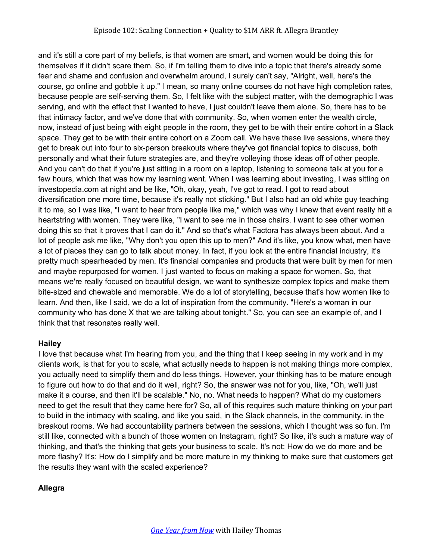and it's still a core part of my beliefs, is that women are smart, and women would be doing this for themselves if it didn't scare them. So, if I'm telling them to dive into a topic that there's already some fear and shame and confusion and overwhelm around, I surely can't say, "Alright, well, here's the course, go online and gobble it up." I mean, so many online courses do not have high completion rates, because people are self-serving them. So, I felt like with the subject matter, with the demographic I was serving, and with the effect that I wanted to have, I just couldn't leave them alone. So, there has to be that intimacy factor, and we've done that with community. So, when women enter the wealth circle, now, instead of just being with eight people in the room, they get to be with their entire cohort in a Slack space. They get to be with their entire cohort on a Zoom call. We have these live sessions, where they get to break out into four to six-person breakouts where they've got financial topics to discuss, both personally and what their future strategies are, and they're volleying those ideas off of other people. And you can't do that if you're just sitting in a room on a laptop, listening to someone talk at you for a few hours, which that was how my learning went. When I was learning about investing, I was sitting on investopedia.com at night and be like, "Oh, okay, yeah, I've got to read. I got to read about diversification one more time, because it's really not sticking." But I also had an old white guy teaching it to me, so I was like, "I want to hear from people like me," which was why I knew that event really hit a heartstring with women. They were like, "I want to see me in those chairs. I want to see other women doing this so that it proves that I can do it." And so that's what Factora has always been about. And a lot of people ask me like, "Why don't you open this up to men?" And it's like, you know what, men have a lot of places they can go to talk about money. In fact, if you look at the entire financial industry, it's pretty much spearheaded by men. It's financial companies and products that were built by men for men and maybe repurposed for women. I just wanted to focus on making a space for women. So, that means we're really focused on beautiful design, we want to synthesize complex topics and make them bite-sized and chewable and memorable. We do a lot of storytelling, because that's how women like to learn. And then, like I said, we do a lot of inspiration from the community. "Here's a woman in our community who has done X that we are talking about tonight." So, you can see an example of, and I think that that resonates really well.

## **Hailey**

I love that because what I'm hearing from you, and the thing that I keep seeing in my work and in my clients work, is that for you to scale, what actually needs to happen is not making things more complex, you actually need to simplify them and do less things. However, your thinking has to be mature enough to figure out how to do that and do it well, right? So, the answer was not for you, like, "Oh, we'll just make it a course, and then it'll be scalable." No, no. What needs to happen? What do my customers need to get the result that they came here for? So, all of this requires such mature thinking on your part to build in the intimacy with scaling, and like you said, in the Slack channels, in the community, in the breakout rooms. We had accountability partners between the sessions, which I thought was so fun. I'm still like, connected with a bunch of those women on Instagram, right? So like, it's such a mature way of thinking, and that's the thinking that gets your business to scale. It's not: How do we do more and be more flashy? It's: How do I simplify and be more mature in my thinking to make sure that customers get the results they want with the scaled experience?

## **Allegra**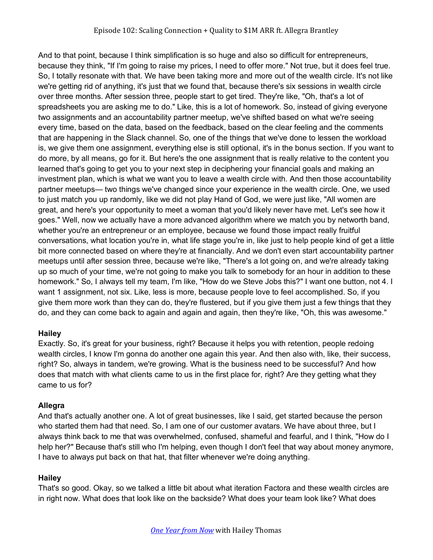And to that point, because I think simplification is so huge and also so difficult for entrepreneurs, because they think, "If I'm going to raise my prices, I need to offer more." Not true, but it does feel true. So, I totally resonate with that. We have been taking more and more out of the wealth circle. It's not like we're getting rid of anything, it's just that we found that, because there's six sessions in wealth circle over three months. After session three, people start to get tired. They're like, "Oh, that's a lot of spreadsheets you are asking me to do." Like, this is a lot of homework. So, instead of giving everyone two assignments and an accountability partner meetup, we've shifted based on what we're seeing every time, based on the data, based on the feedback, based on the clear feeling and the comments that are happening in the Slack channel. So, one of the things that we've done to lessen the workload is, we give them one assignment, everything else is still optional, it's in the bonus section. If you want to do more, by all means, go for it. But here's the one assignment that is really relative to the content you learned that's going to get you to your next step in deciphering your financial goals and making an investment plan, which is what we want you to leave a wealth circle with. And then those accountability partner meetups— two things we've changed since your experience in the wealth circle. One, we used to just match you up randomly, like we did not play Hand of God, we were just like, "All women are great, and here's your opportunity to meet a woman that you'd likely never have met. Let's see how it goes." Well, now we actually have a more advanced algorithm where we match you by networth band, whether you're an entrepreneur or an employee, because we found those impact really fruitful conversations, what location you're in, what life stage you're in, like just to help people kind of get a little bit more connected based on where they're at financially. And we don't even start accountability partner meetups until after session three, because we're like, "There's a lot going on, and we're already taking up so much of your time, we're not going to make you talk to somebody for an hour in addition to these homework." So, I always tell my team, I'm like, "How do we Steve Jobs this?" I want one button, not 4. I want 1 assignment, not six. Like, less is more, because people love to feel accomplished. So, if you give them more work than they can do, they're flustered, but if you give them just a few things that they do, and they can come back to again and again and again, then they're like, "Oh, this was awesome."

## **Hailey**

Exactly. So, it's great for your business, right? Because it helps you with retention, people redoing wealth circles, I know I'm gonna do another one again this year. And then also with, like, their success, right? So, always in tandem, we're growing. What is the business need to be successful? And how does that match with what clients came to us in the first place for, right? Are they getting what they came to us for?

# **Allegra**

And that's actually another one. A lot of great businesses, like I said, get started because the person who started them had that need. So, I am one of our customer avatars. We have about three, but I always think back to me that was overwhelmed, confused, shameful and fearful, and I think, "How do I help her?" Because that's still who I'm helping, even though I don't feel that way about money anymore, I have to always put back on that hat, that filter whenever we're doing anything.

## **Hailey**

That's so good. Okay, so we talked a little bit about what iteration Factora and these wealth circles are in right now. What does that look like on the backside? What does your team look like? What does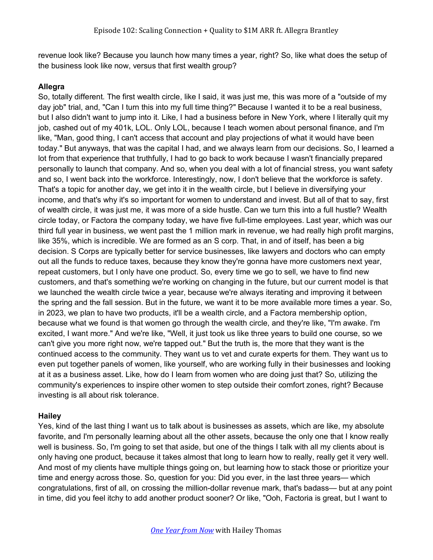revenue look like? Because you launch how many times a year, right? So, like what does the setup of the business look like now, versus that first wealth group?

## **Allegra**

So, totally different. The first wealth circle, like I said, it was just me, this was more of a "outside of my day job" trial, and, "Can I turn this into my full time thing?" Because I wanted it to be a real business, but I also didn't want to jump into it. Like, I had a business before in New York, where I literally quit my job, cashed out of my 401k, LOL. Only LOL, because I teach women about personal finance, and I'm like, "Man, good thing, I can't access that account and play projections of what it would have been today." But anyways, that was the capital I had, and we always learn from our decisions. So, I learned a lot from that experience that truthfully, I had to go back to work because I wasn't financially prepared personally to launch that company. And so, when you deal with a lot of financial stress, you want safety and so, I went back into the workforce. Interestingly, now, I don't believe that the workforce is safety. That's a topic for another day, we get into it in the wealth circle, but I believe in diversifying your income, and that's why it's so important for women to understand and invest. But all of that to say, first of wealth circle, it was just me, it was more of a side hustle. Can we turn this into a full hustle? Wealth circle today, or Factora the company today, we have five full-time employees. Last year, which was our third full year in business, we went past the 1 million mark in revenue, we had really high profit margins, like 35%, which is incredible. We are formed as an S corp. That, in and of itself, has been a big decision. S Corps are typically better for service businesses, like lawyers and doctors who can empty out all the funds to reduce taxes, because they know they're gonna have more customers next year, repeat customers, but I only have one product. So, every time we go to sell, we have to find new customers, and that's something we're working on changing in the future, but our current model is that we launched the wealth circle twice a year, because we're always iterating and improving it between the spring and the fall session. But in the future, we want it to be more available more times a year. So, in 2023, we plan to have two products, it'll be a wealth circle, and a Factora membership option, because what we found is that women go through the wealth circle, and they're like, "I'm awake. I'm excited, I want more." And we're like, "Well, it just took us like three years to build one course, so we can't give you more right now, we're tapped out." But the truth is, the more that they want is the continued access to the community. They want us to vet and curate experts for them. They want us to even put together panels of women, like yourself, who are working fully in their businesses and looking at it as a business asset. Like, how do I learn from women who are doing just that? So, utilizing the community's experiences to inspire other women to step outside their comfort zones, right? Because investing is all about risk tolerance.

# **Hailey**

Yes, kind of the last thing I want us to talk about is businesses as assets, which are like, my absolute favorite, and I'm personally learning about all the other assets, because the only one that I know really well is business. So, I'm going to set that aside, but one of the things I talk with all my clients about is only having one product, because it takes almost that long to learn how to really, really get it very well. And most of my clients have multiple things going on, but learning how to stack those or prioritize your time and energy across those. So, question for you: Did you ever, in the last three years— which congratulations, first of all, on crossing the million-dollar revenue mark, that's badass— but at any point in time, did you feel itchy to add another product sooner? Or like, "Ooh, Factoria is great, but I want to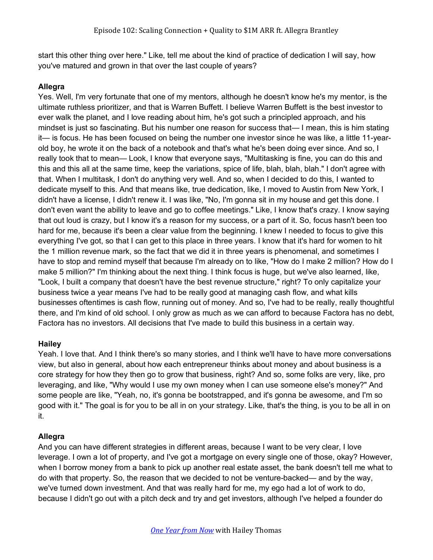start this other thing over here." Like, tell me about the kind of practice of dedication I will say, how you've matured and grown in that over the last couple of years?

## **Allegra**

Yes. Well, I'm very fortunate that one of my mentors, although he doesn't know he's my mentor, is the ultimate ruthless prioritizer, and that is Warren Buffett. I believe Warren Buffett is the best investor to ever walk the planet, and I love reading about him, he's got such a principled approach, and his mindset is just so fascinating. But his number one reason for success that— I mean, this is him stating it— is focus. He has been focused on being the number one investor since he was like, a little 11-yearold boy, he wrote it on the back of a notebook and that's what he's been doing ever since. And so, I really took that to mean— Look, I know that everyone says, "Multitasking is fine, you can do this and this and this all at the same time, keep the variations, spice of life, blah, blah, blah." I don't agree with that. When I multitask, I don't do anything very well. And so, when I decided to do this, I wanted to dedicate myself to this. And that means like, true dedication, like, I moved to Austin from New York, I didn't have a license, I didn't renew it. I was like, "No, I'm gonna sit in my house and get this done. I don't even want the ability to leave and go to coffee meetings." Like, I know that's crazy. I know saying that out loud is crazy, but I know it's a reason for my success, or a part of it. So, focus hasn't been too hard for me, because it's been a clear value from the beginning. I knew I needed to focus to give this everything I've got, so that I can get to this place in three years. I know that it's hard for women to hit the 1 million revenue mark, so the fact that we did it in three years is phenomenal, and sometimes I have to stop and remind myself that because I'm already on to like, "How do I make 2 million? How do I make 5 million?" I'm thinking about the next thing. I think focus is huge, but we've also learned, like, "Look, I built a company that doesn't have the best revenue structure," right? To only capitalize your business twice a year means I've had to be really good at managing cash flow, and what kills businesses oftentimes is cash flow, running out of money. And so, I've had to be really, really thoughtful there, and I'm kind of old school. I only grow as much as we can afford to because Factora has no debt, Factora has no investors. All decisions that I've made to build this business in a certain way.

## **Hailey**

Yeah. I love that. And I think there's so many stories, and I think we'll have to have more conversations view, but also in general, about how each entrepreneur thinks about money and about business is a core strategy for how they then go to grow that business, right? And so, some folks are very, like, pro leveraging, and like, "Why would I use my own money when I can use someone else's money?" And some people are like, "Yeah, no, it's gonna be bootstrapped, and it's gonna be awesome, and I'm so good with it." The goal is for you to be all in on your strategy. Like, that's the thing, is you to be all in on it.

# **Allegra**

And you can have different strategies in different areas, because I want to be very clear, I love leverage. I own a lot of property, and I've got a mortgage on every single one of those, okay? However, when I borrow money from a bank to pick up another real estate asset, the bank doesn't tell me what to do with that property. So, the reason that we decided to not be venture-backed— and by the way, we've turned down investment. And that was really hard for me, my ego had a lot of work to do, because I didn't go out with a pitch deck and try and get investors, although I've helped a founder do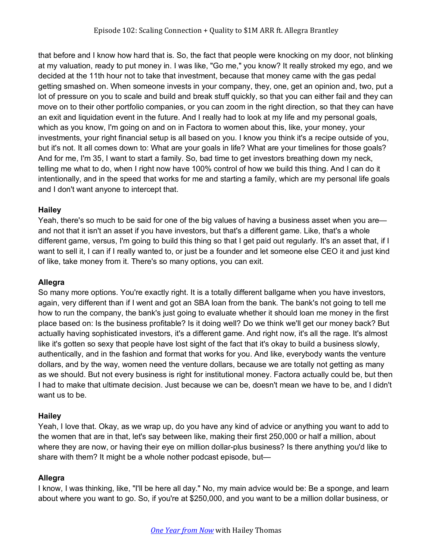that before and I know how hard that is. So, the fact that people were knocking on my door, not blinking at my valuation, ready to put money in. I was like, "Go me," you know? It really stroked my ego, and we decided at the 11th hour not to take that investment, because that money came with the gas pedal getting smashed on. When someone invests in your company, they, one, get an opinion and, two, put a lot of pressure on you to scale and build and break stuff quickly, so that you can either fail and they can move on to their other portfolio companies, or you can zoom in the right direction, so that they can have an exit and liquidation event in the future. And I really had to look at my life and my personal goals, which as you know, I'm going on and on in Factora to women about this, like, your money, your investments, your right financial setup is all based on you. I know you think it's a recipe outside of you, but it's not. It all comes down to: What are your goals in life? What are your timelines for those goals? And for me, I'm 35, I want to start a family. So, bad time to get investors breathing down my neck, telling me what to do, when I right now have 100% control of how we build this thing. And I can do it intentionally, and in the speed that works for me and starting a family, which are my personal life goals and I don't want anyone to intercept that.

## **Hailey**

Yeah, there's so much to be said for one of the big values of having a business asset when you are and not that it isn't an asset if you have investors, but that's a different game. Like, that's a whole different game, versus, I'm going to build this thing so that I get paid out regularly. It's an asset that, if I want to sell it, I can if I really wanted to, or just be a founder and let someone else CEO it and just kind of like, take money from it. There's so many options, you can exit.

#### **Allegra**

So many more options. You're exactly right. It is a totally different ballgame when you have investors, again, very different than if I went and got an SBA loan from the bank. The bank's not going to tell me how to run the company, the bank's just going to evaluate whether it should loan me money in the first place based on: Is the business profitable? Is it doing well? Do we think we'll get our money back? But actually having sophisticated investors, it's a different game. And right now, it's all the rage. It's almost like it's gotten so sexy that people have lost sight of the fact that it's okay to build a business slowly, authentically, and in the fashion and format that works for you. And like, everybody wants the venture dollars, and by the way, women need the venture dollars, because we are totally not getting as many as we should. But not every business is right for institutional money. Factora actually could be, but then I had to make that ultimate decision. Just because we can be, doesn't mean we have to be, and I didn't want us to be.

## **Hailey**

Yeah, I love that. Okay, as we wrap up, do you have any kind of advice or anything you want to add to the women that are in that, let's say between like, making their first 250,000 or half a million, about where they are now, or having their eye on million dollar-plus business? Is there anything you'd like to share with them? It might be a whole nother podcast episode, but—

## **Allegra**

I know, I was thinking, like, "I'll be here all day." No, my main advice would be: Be a sponge, and learn about where you want to go. So, if you're at \$250,000, and you want to be a million dollar business, or